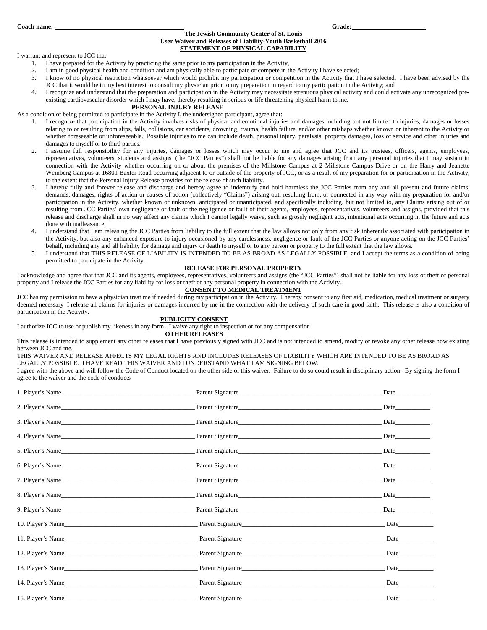# **The Jewish Community Center of St. Louis User Waiver and Releases of Liability-Youth Basketball 2016 STATEMENT OF PHYSICAL CAPABILITY**

I warrant and represent to JCC that:

- 1. I have prepared for the Activity by practicing the same prior to my participation in the Activity,
- 2. I am in good physical health and condition and am physically able to participate or compete in the Activity I have selected;<br>3. I know of no physical restriction whatsoever which would prohibit my participation or compe
- I know of no physical restriction whatsoever which would prohibit my participation or competition in the Activity that I have selected. I have been advised by the JCC that it would be in my best interest to consult my physician prior to my preparation in regard to my participation in the Activity; and
- 4. I recognize and understand that the preparation and participation in the Activity may necessitate strenuous physical activity and could activate any unrecognized preexisting cardiovascular disorder which I may have, thereby resulting in serious or life threatening physical harm to me.

# **PERSONAL INJURY RELEASE**

As a condition of being permitted to participate in the Activity I, the undersigned participant, agree that:

- 1. I recognize that participation in the Activity involves risks of physical and emotional injuries and damages including but not limited to injuries, damages or losses relating to or resulting from slips, falls, collisions, car accidents, drowning, trauma, health failure, and/or other mishaps whether known or inherent to the Activity or whether foreseeable or unforeseeable. Possible injuries to me can include death, personal injury, paralysis, property damages, loss of service and other injuries and damages to myself or to third parties.
- 2. I assume full responsibility for any injuries, damages or losses which may occur to me and agree that JCC and its trustees, officers, agents, employees, representatives, volunteers, students and assigns (the "JCC Parties") shall not be liable for any damages arising from any personal injuries that I may sustain in connection with the Activity whether occurring on or about the premises of the Millstone Campus at 2 Millstone Campus Drive or on the Harry and Jeanette Weinberg Campus at 16801 Baxter Road occurring adjacent to or outside of the property of JCC, or as a result of my preparation for or participation in the Activity, to the extent that the Personal Injury Release provides for the release of such liability.
- 3. I hereby fully and forever release and discharge and hereby agree to indemnify and hold harmless the JCC Parties from any and all present and future claims, demands, damages, rights of action or causes of action (collectively "Claims") arising out, resulting from, or connected in any way with my preparation for and/or participation in the Activity, whether known or unknown, anticipated or unanticipated, and specifically including, but not limited to, any Claims arising out of or resulting from JCC Parties' own negligence or fault or the negligence or fault of their agents, employees, representatives, volunteers and assigns, provided that this release and discharge shall in no way affect any claims which I cannot legally waive, such as grossly negligent acts, intentional acts occurring in the future and acts done with malfeasance.
- I understand that I am releasing the JCC Parties from liability to the full extent that the law allows not only from any risk inherently associated with participation in the Activity, but also any enhanced exposure to injury occasioned by any carelessness, negligence or fault of the JCC Parties or anyone acting on the JCC Parties' behalf, including any and all liability for damage and injury or death to myself or to any person or property to the full extent that the law allows.
- 5. I understand that THIS RELEASE OF LIABILITY IS INTENDED TO BE AS BROAD AS LEGALLY POSSIBLE, and I accept the terms as a condition of being permitted to participate in the Activity.

## **RELEASE FOR PERSONAL PROPERTY**

I acknowledge and agree that that JCC and its agents, employees, representatives, volunteers and assigns (the "JCC Parties") shall not be liable for any loss or theft of personal property and I release the JCC Parties for any liability for loss or theft of any personal property in connection with the Activity.

# **CONSENT TO MEDICAL TREATMENT**

JCC has my permission to have a physician treat me if needed during my participation in the Activity. I hereby consent to any first aid, medication, medical treatment or surgery deemed necessary I release all claims for injuries or damages incurred by me in the connection with the delivery of such care in good faith. This release is also a condition of participation in the Activity.

### **PUBLICITY CONSENT**

I authorize JCC to use or publish my likeness in any form. I waive any right to inspection or for any compensation.

#### **OTHER RELEASES**

This release is intended to supplement any other releases that I have previously signed with JCC and is not intended to amend, modify or revoke any other release now existing between JCC and me.

# THIS WAIVER AND RELEASE AFFECTS MY LEGAL RIGHTS AND INCLUDES RELEASES OF LIABILITY WHICH ARE INTENDED TO BE AS BROAD AS LEGALLY POSSIBLE. I HAVE READ THIS WAIVER AND I UNDERSTAND WHAT I AM SIGNING BELOW.

I agree with the above and will follow the Code of Conduct located on the other side of this waiver. Failure to do so could result in disciplinary action. By signing the form I agree to the waiver and the code of conducts

|                   | Parent Signature | <b>Date</b>                                                                                                                                                                                                                    |
|-------------------|------------------|--------------------------------------------------------------------------------------------------------------------------------------------------------------------------------------------------------------------------------|
|                   | 2. Player's Name |                                                                                                                                                                                                                                |
|                   | 3. Player's Name | <b>Date</b>                                                                                                                                                                                                                    |
|                   |                  |                                                                                                                                                                                                                                |
|                   |                  | Date has been a set of the set of the set of the set of the set of the set of the set of the set of the set of the set of the set of the set of the set of the set of the set of the set of the set of the set of the set of t |
|                   |                  |                                                                                                                                                                                                                                |
|                   |                  |                                                                                                                                                                                                                                |
| 8. Player's Name  | Parent Signature |                                                                                                                                                                                                                                |
|                   |                  | <b>Date</b>                                                                                                                                                                                                                    |
| 10. Player's Name | Parent Signature | Date                                                                                                                                                                                                                           |
| 11. Player's Name | Parent Signature | <b>Date</b>                                                                                                                                                                                                                    |
| 12. Player's Name | Parent Signature | <b>Date</b>                                                                                                                                                                                                                    |
| 13. Player's Name |                  |                                                                                                                                                                                                                                |
| 14. Player's Name |                  | Date                                                                                                                                                                                                                           |
| 15. Player's Name | Parent Signature |                                                                                                                                                                                                                                |